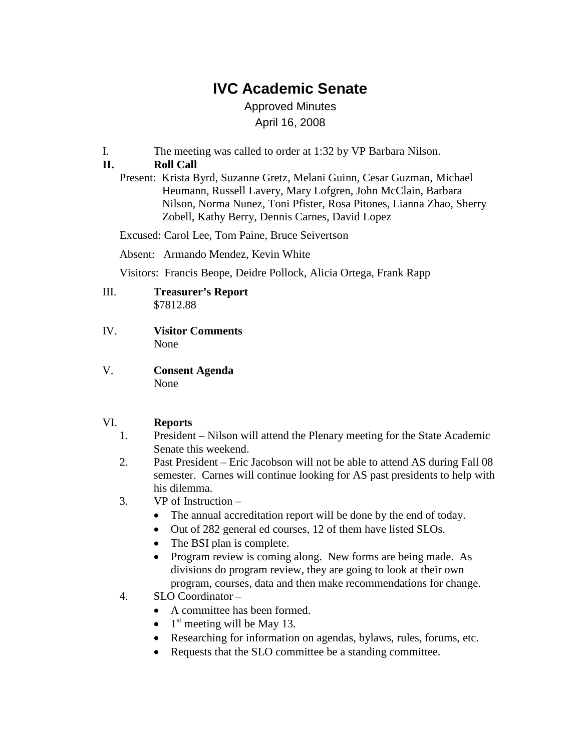# **IVC Academic Senate**

Approved Minutes April 16, 2008

I. The meeting was called to order at 1:32 by VP Barbara Nilson.

# **II. Roll Call**

Present: Krista Byrd, Suzanne Gretz, Melani Guinn, Cesar Guzman, Michael Heumann, Russell Lavery, Mary Lofgren, John McClain, Barbara Nilson, Norma Nunez, Toni Pfister, Rosa Pitones, Lianna Zhao, Sherry Zobell, Kathy Berry, Dennis Carnes, David Lopez

Excused: Carol Lee, Tom Paine, Bruce Seivertson

Absent: Armando Mendez, Kevin White

Visitors: Francis Beope, Deidre Pollock, Alicia Ortega, Frank Rapp

#### III. **Treasurer's Report** \$7812.88

- IV. **Visitor Comments** None
- V. **Consent Agenda** None

## VI. **Reports**

- 1. President Nilson will attend the Plenary meeting for the State Academic Senate this weekend.
- 2. Past President Eric Jacobson will not be able to attend AS during Fall 08 semester. Carnes will continue looking for AS past presidents to help with his dilemma.
- 3. VP of Instruction
	- The annual accreditation report will be done by the end of today.
	- Out of 282 general ed courses, 12 of them have listed SLOs.
	- The BSI plan is complete.
	- Program review is coming along. New forms are being made. As divisions do program review, they are going to look at their own program, courses, data and then make recommendations for change.
- 4. SLO Coordinator
	- A committee has been formed.
	- $1<sup>st</sup>$  meeting will be May 13.
	- Researching for information on agendas, bylaws, rules, forums, etc.
	- Requests that the SLO committee be a standing committee.